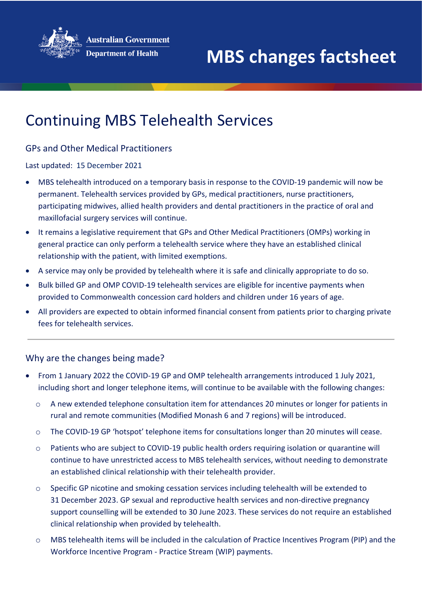

## Continuing MBS Telehealth Services

## GPs and Other Medical Practitioners

Last updated: 15 December 2021

- MBS telehealth introduced on a temporary basis in response to the COVID-19 pandemic will now be permanent. Telehealth services provided by GPs, medical practitioners, nurse practitioners, participating midwives, allied health providers and dental practitioners in the practice of oral and maxillofacial surgery services will continue.
- It remains a legislative requirement that GPs and Other Medical Practitioners (OMPs) working in general practice can only perform a telehealth service where they have an established clinical relationship with the patient, with limited exemptions.
- A service may only be provided by telehealth where it is safe and clinically appropriate to do so.
- Bulk billed GP and OMP COVID-19 telehealth services are eligible for incentive payments when provided to Commonwealth concession card holders and children under 16 years of age.
- All providers are expected to obtain informed financial consent from patients prior to charging private fees for telehealth services.

## Why are the changes being made?

- From 1 January 2022 the COVID-19 GP and OMP telehealth arrangements introduced 1 July 2021, including short and longer telephone items, will continue to be available with the following changes:
	- o A new extended telephone consultation item for attendances 20 minutes or longer for patients in rural and remote communities (Modified Monash 6 and 7 regions) will be introduced.
	- o The COVID-19 GP 'hotspot' telephone items for consultations longer than 20 minutes will cease.
	- o Patients who are subject to COVID-19 public health orders requiring isolation or quarantine will continue to have unrestricted access to MBS telehealth services, without needing to demonstrate an established clinical relationship with their telehealth provider.
	- o Specific GP nicotine and smoking cessation services including telehealth will be extended to 31 December 2023. GP sexual and reproductive health services and non-directive pregnancy support counselling will be extended to 30 June 2023. These services do not require an established clinical relationship when provided by telehealth.
	- o MBS telehealth items will be included in the calculation of Practice Incentives Program (PIP) and the Workforce Incentive Program - Practice Stream (WIP) payments.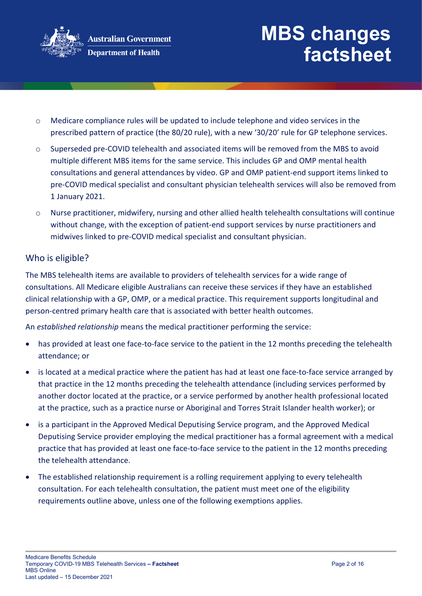

- o Medicare compliance rules will be updated to include telephone and video services in the prescribed pattern of practice (the 80/20 rule), with a new '30/20' rule for GP telephone services.
- o Superseded pre-COVID telehealth and associated items will be removed from the MBS to avoid multiple different MBS items for the same service. This includes GP and OMP mental health consultations and general attendances by video. GP and OMP patient-end support items linked to pre-COVID medical specialist and consultant physician telehealth services will also be removed from 1 January 2021.
- o Nurse practitioner, midwifery, nursing and other allied health telehealth consultations will continue without change, with the exception of patient-end support services by nurse practitioners and midwives linked to pre-COVID medical specialist and consultant physician.

### Who is eligible?

The MBS telehealth items are available to providers of telehealth services for a wide range of consultations. All Medicare eligible Australians can receive these services if they have an established clinical relationship with a GP, OMP, or a medical practice. This requirement supports longitudinal and person-centred primary health care that is associated with better health outcomes.

An *established relationship* means the medical practitioner performing the service:

- has provided at least one face-to-face service to the patient in the 12 months preceding the telehealth attendance; or
- is located at a medical practice where the patient has had at least one face-to-face service arranged by that practice in the 12 months preceding the telehealth attendance (including services performed by another doctor located at the practice, or a service performed by another health professional located at the practice, such as a practice nurse or Aboriginal and Torres Strait Islander health worker); or
- is a participant in the Approved Medical Deputising Service program, and the Approved Medical Deputising Service provider employing the medical practitioner has a formal agreement with a medical practice that has provided at least one face-to-face service to the patient in the 12 months preceding the telehealth attendance.
- The established relationship requirement is a rolling requirement applying to every telehealth consultation. For each telehealth consultation, the patient must meet one of the eligibility requirements outline above, unless one of the following exemptions applies.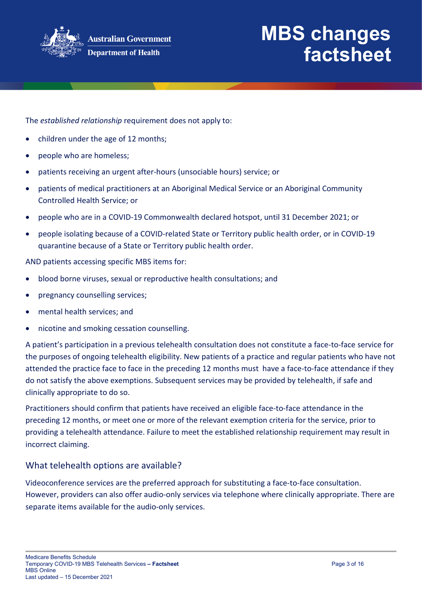

The *established relationship* requirement does not apply to:

- children under the age of 12 months;
- people who are homeless;
- patients receiving an urgent after-hours (unsociable hours) service; or
- patients of medical practitioners at an Aboriginal Medical Service or an Aboriginal Community Controlled Health Service; or
- people who are in a COVID-19 Commonwealth declared hotspot, until 31 December 2021; or
- people isolating because of a COVID-related State or Territory public health order, or in COVID-19 quarantine because of a State or Territory public health order.

AND patients accessing specific MBS items for:

- blood borne viruses, sexual or reproductive health consultations; and
- pregnancy counselling services;
- mental health services; and
- nicotine and smoking cessation counselling.

A patient's participation in a previous telehealth consultation does not constitute a face-to-face service for the purposes of ongoing telehealth eligibility. New patients of a practice and regular patients who have not attended the practice face to face in the preceding 12 months must have a face-to-face attendance if they do not satisfy the above exemptions. Subsequent services may be provided by telehealth, if safe and clinically appropriate to do so.

Practitioners should confirm that patients have received an eligible face-to-face attendance in the preceding 12 months, or meet one or more of the relevant exemption criteria for the service, prior to providing a telehealth attendance. Failure to meet the established relationship requirement may result in incorrect claiming.

#### What telehealth options are available?

Videoconference services are the preferred approach for substituting a face-to-face consultation. However, providers can also offer audio-only services via telephone where clinically appropriate. There are separate items available for the audio-only services.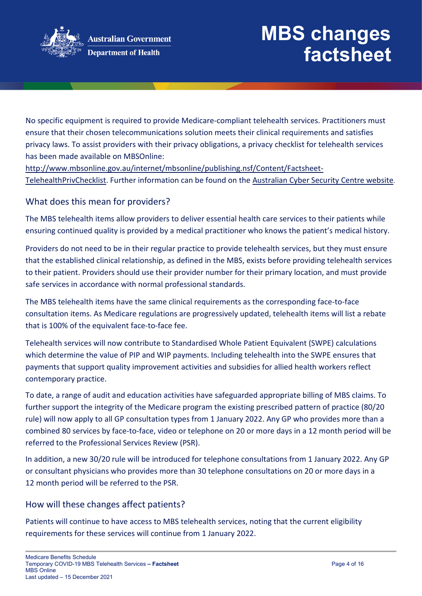

No specific equipment is required to provide Medicare-compliant telehealth services. Practitioners must ensure that their chosen telecommunications solution meets their clinical requirements and satisfies privacy laws. To assist providers with their privacy obligations, a privacy checklist for telehealth services has been made available on MBSOnline:

[http://www.mbsonline.gov.au/internet/mbsonline/publishing.nsf/Content/Factsheet-](http://www.mbsonline.gov.au/internet/mbsonline/publishing.nsf/Content/Factsheet-TelehealthPrivChecklist)[TelehealthPrivChecklist.](http://www.mbsonline.gov.au/internet/mbsonline/publishing.nsf/Content/Factsheet-TelehealthPrivChecklist) Further information can be found on the [Australian Cyber Security Centre website.](https://www.cyber.gov.au/)

## What does this mean for providers?

The MBS telehealth items allow providers to deliver essential health care services to their patients while ensuring continued quality is provided by a medical practitioner who knows the patient's medical history.

Providers do not need to be in their regular practice to provide telehealth services, but they must ensure that the established clinical relationship, as defined in the MBS, exists before providing telehealth services to their patient. Providers should use their provider number for their primary location, and must provide safe services in accordance with normal professional standards.

The MBS telehealth items have the same clinical requirements as the corresponding face-to-face consultation items. As Medicare regulations are progressively updated, telehealth items will list a rebate that is 100% of the equivalent face-to-face fee.

Telehealth services will now contribute to Standardised Whole Patient Equivalent (SWPE) calculations which determine the value of PIP and WIP payments. Including telehealth into the SWPE ensures that payments that support quality improvement activities and subsidies for allied health workers reflect contemporary practice.

To date, a range of audit and education activities have safeguarded appropriate billing of MBS claims. To further support the integrity of the Medicare program the existing prescribed pattern of practice (80/20 rule) will now apply to all GP consultation types from 1 January 2022. Any GP who provides more than a combined 80 services by face-to-face, video or telephone on 20 or more days in a 12 month period will be referred to the Professional Services Review (PSR).

In addition, a new 30/20 rule will be introduced for telephone consultations from 1 January 2022. Any GP or consultant physicians who provides more than 30 telephone consultations on 20 or more days in a 12 month period will be referred to the PSR.

## How will these changes affect patients?

Patients will continue to have access to MBS telehealth services, noting that the current eligibility requirements for these services will continue from 1 January 2022.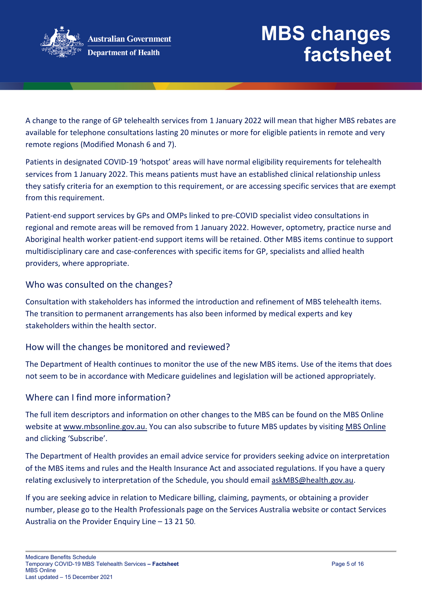

A change to the range of GP telehealth services from 1 January 2022 will mean that higher MBS rebates are available for telephone consultations lasting 20 minutes or more for eligible patients in remote and very remote regions (Modified Monash 6 and 7).

Patients in designated COVID-19 'hotspot' areas will have normal eligibility requirements for telehealth services from 1 January 2022. This means patients must have an established clinical relationship unless they satisfy criteria for an exemption to this requirement, or are accessing specific services that are exempt from this requirement.

Patient-end support services by GPs and OMPs linked to pre-COVID specialist video consultations in regional and remote areas will be removed from 1 January 2022. However, optometry, practice nurse and Aboriginal health worker patient-end support items will be retained. Other MBS items continue to support multidisciplinary care and case-conferences with specific items for GP, specialists and allied health providers, where appropriate.

### Who was consulted on the changes?

Consultation with stakeholders has informed the introduction and refinement of MBS telehealth items. The transition to permanent arrangements has also been informed by medical experts and key stakeholders within the health sector.

## How will the changes be monitored and reviewed?

The Department of Health continues to monitor the use of the new MBS items. Use of the items that does not seem to be in accordance with Medicare guidelines and legislation will be actioned appropriately.

### Where can I find more information?

The full item descriptors and information on other changes to the MBS can be found on the MBS Online website at [www.mbsonline.gov.au.](http://www.mbsonline.gov.au/) You can also subscribe to future MBS updates by visiting [MBS Online](http://www.mbsonline.gov.au/) and clicking 'Subscribe'.

The Department of Health provides an email advice service for providers seeking advice on interpretation of the MBS items and rules and the Health Insurance Act and associated regulations. If you have a query relating exclusively to interpretation of the Schedule, you should email [askMBS@health.gov.au.](mailto:askMBS@health.gov.au)

If you are seeking advice in relation to Medicare billing, claiming, payments, or obtaining a provider number, please go to the Health Professionals page on the Services Australia website or contact Services Australia on the Provider Enquiry Line – 13 21 50.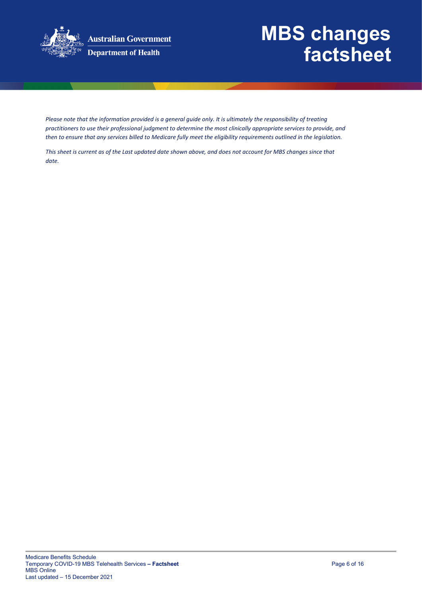

**Australian Government Department of Health** 

## **MBS changes factsheet**

*Please note that the information provided is a general guide only. It is ultimately the responsibility of treating practitioners to use their professional judgment to determine the most clinically appropriate services to provide, and then to ensure that any services billed to Medicare fully meet the eligibility requirements outlined in the legislation.* 

*This sheet is current as of the Last updated date shown above, and does not account for MBS changes since that date.*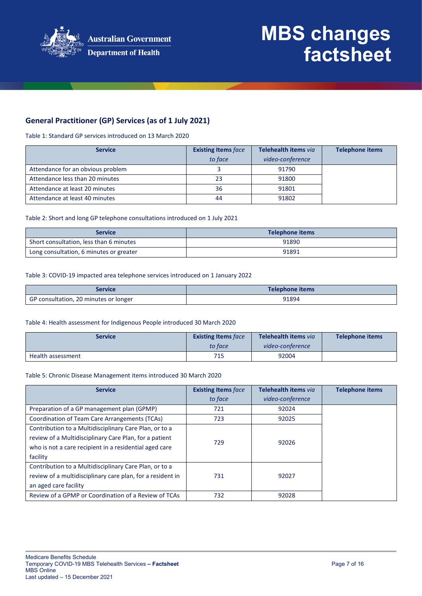

### **General Practitioner (GP) Services (as of 1 July 2021)**

Table 1: Standard GP services introduced on 13 March 2020

| <b>Service</b>                    | <b>Existing Items face</b> | Telehealth items via | <b>Telephone items</b> |
|-----------------------------------|----------------------------|----------------------|------------------------|
|                                   | to face                    | video-conference     |                        |
| Attendance for an obvious problem |                            | 91790                |                        |
| Attendance less than 20 minutes   | 23                         | 91800                |                        |
| Attendance at least 20 minutes    | 36                         | 91801                |                        |
| Attendance at least 40 minutes    | 44                         | 91802                |                        |

#### Table 2: Short and long GP telephone consultations introduced on 1 July 2021

| Service                                 | Telephone items |
|-----------------------------------------|-----------------|
| Short consultation, less than 6 minutes | 91890           |
| Long consultation, 6 minutes or greater | 91891           |

#### Table 3: COVID-19 impacted area telephone services introduced on 1 January 2022

| Service                               | Telephone items |
|---------------------------------------|-----------------|
| GP consultation, 20 minutes or longer | 91894           |

#### Table 4: Health assessment for Indigenous People introduced 30 March 2020

| <b>Service</b>    | <b>Existing Items face</b> | Telehealth items via | Telephone items |
|-------------------|----------------------------|----------------------|-----------------|
|                   | to face                    | video-conference     |                 |
| Health assessment | 715                        | 92004                |                 |

#### Table 5: Chronic Disease Management items introduced 30 March 2020

| <b>Service</b>                                                                                                                                                                         | <b>Existing Items face</b><br>to face | Telehealth items via<br>video-conference | <b>Telephone items</b> |
|----------------------------------------------------------------------------------------------------------------------------------------------------------------------------------------|---------------------------------------|------------------------------------------|------------------------|
| Preparation of a GP management plan (GPMP)                                                                                                                                             | 721                                   | 92024                                    |                        |
| Coordination of Team Care Arrangements (TCAs)                                                                                                                                          | 723                                   | 92025                                    |                        |
| Contribution to a Multidisciplinary Care Plan, or to a<br>review of a Multidisciplinary Care Plan, for a patient<br>who is not a care recipient in a residential aged care<br>facility | 729                                   | 92026                                    |                        |
| Contribution to a Multidisciplinary Care Plan, or to a<br>review of a multidisciplinary care plan, for a resident in<br>an aged care facility                                          | 731                                   | 92027                                    |                        |
| Review of a GPMP or Coordination of a Review of TCAs                                                                                                                                   | 732                                   | 92028                                    |                        |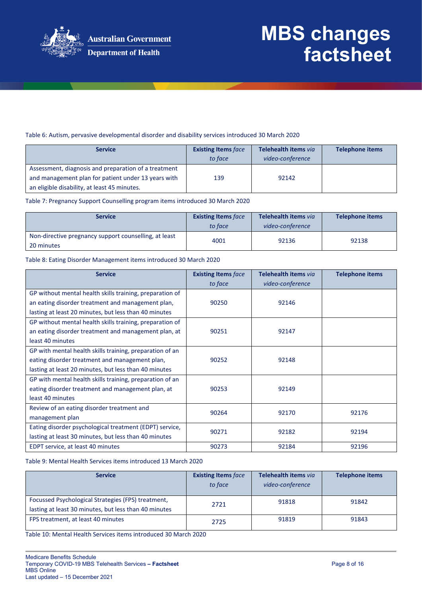

#### Table 6: Autism, pervasive developmental disorder and disability services introduced 30 March 2020

| <b>Service</b>                                       | <b>Existing Items face</b><br>to face | Telehealth items via<br>video-conference | <b>Telephone items</b> |
|------------------------------------------------------|---------------------------------------|------------------------------------------|------------------------|
| Assessment, diagnosis and preparation of a treatment |                                       |                                          |                        |
| and management plan for patient under 13 years with  | 139                                   | 92142                                    |                        |
| an eligible disability, at least 45 minutes.         |                                       |                                          |                        |

Table 7: Pregnancy Support Counselling program items introduced 30 March 2020

| <b>Service</b>                                                      | <b>Existing Items face</b><br>to face | Telehealth items via<br>video-conference | <b>Telephone items</b> |
|---------------------------------------------------------------------|---------------------------------------|------------------------------------------|------------------------|
| Non-directive pregnancy support counselling, at least<br>20 minutes | 4001                                  | 92136                                    | 92138                  |

Table 8: Eating Disorder Management items introduced 30 March 2020

| <b>Service</b>                                           | <b>Existing Items face</b><br>to face | Telehealth items via<br>video-conference | <b>Telephone items</b> |
|----------------------------------------------------------|---------------------------------------|------------------------------------------|------------------------|
| GP without mental health skills training, preparation of |                                       |                                          |                        |
| an eating disorder treatment and management plan,        | 90250                                 | 92146                                    |                        |
| lasting at least 20 minutes, but less than 40 minutes    |                                       |                                          |                        |
| GP without mental health skills training, preparation of |                                       |                                          |                        |
| an eating disorder treatment and management plan, at     | 90251                                 | 92147                                    |                        |
| least 40 minutes                                         |                                       |                                          |                        |
| GP with mental health skills training, preparation of an |                                       |                                          |                        |
| eating disorder treatment and management plan,           | 90252                                 | 92148                                    |                        |
| lasting at least 20 minutes, but less than 40 minutes    |                                       |                                          |                        |
| GP with mental health skills training, preparation of an |                                       |                                          |                        |
| eating disorder treatment and management plan, at        | 90253                                 | 92149                                    |                        |
| least 40 minutes                                         |                                       |                                          |                        |
| Review of an eating disorder treatment and               | 90264                                 | 92170                                    | 92176                  |
| management plan                                          |                                       |                                          |                        |
| Eating disorder psychological treatment (EDPT) service,  | 90271                                 | 92182                                    | 92194                  |
| lasting at least 30 minutes, but less than 40 minutes    |                                       |                                          |                        |
| EDPT service, at least 40 minutes                        | 90273                                 | 92184                                    | 92196                  |

Table 9: Mental Health Services items introduced 13 March 2020

| <b>Service</b>                                                                                              | <b>Existing Items face</b><br>to face | Telehealth items via<br>video-conference | <b>Telephone items</b> |
|-------------------------------------------------------------------------------------------------------------|---------------------------------------|------------------------------------------|------------------------|
| Focussed Psychological Strategies (FPS) treatment,<br>lasting at least 30 minutes, but less than 40 minutes | 2721                                  | 91818                                    | 91842                  |
| FPS treatment, at least 40 minutes                                                                          | 2725                                  | 91819                                    | 91843                  |

Table 10: Mental Health Services items introduced 30 March 2020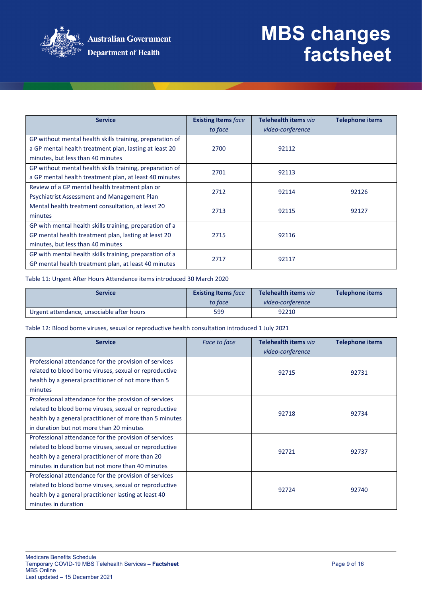

| <b>Service</b>                                                                                                     | <b>Existing Items face</b><br>to face | Telehealth items via<br>video-conference | <b>Telephone items</b> |
|--------------------------------------------------------------------------------------------------------------------|---------------------------------------|------------------------------------------|------------------------|
| GP without mental health skills training, preparation of<br>a GP mental health treatment plan, lasting at least 20 | 2700                                  | 92112                                    |                        |
| minutes, but less than 40 minutes                                                                                  |                                       |                                          |                        |
| GP without mental health skills training, preparation of<br>a GP mental health treatment plan, at least 40 minutes | 2701                                  | 92113                                    |                        |
| Review of a GP mental health treatment plan or<br>Psychiatrist Assessment and Management Plan                      | 2712                                  | 92114                                    | 92126                  |
| Mental health treatment consultation, at least 20<br>minutes                                                       | 2713                                  | 92115                                    | 92127                  |
| GP with mental health skills training, preparation of a                                                            |                                       |                                          |                        |
| GP mental health treatment plan, lasting at least 20<br>minutes, but less than 40 minutes                          | 2715                                  | 92116                                    |                        |
| GP with mental health skills training, preparation of a<br>GP mental health treatment plan, at least 40 minutes    | 2717                                  | 92117                                    |                        |

Table 11: Urgent After Hours Attendance items introduced 30 March 2020

| Service                                   | <b>Existing Items face</b><br>to face | Telehealth items via<br>video-conference | Telephone items |
|-------------------------------------------|---------------------------------------|------------------------------------------|-----------------|
| Urgent attendance, unsociable after hours | 599                                   | 92210                                    |                 |

Table 12: Blood borne viruses, sexual or reproductive health consultation introduced 1 July 2021

| <b>Service</b>                                          | Face to face | Telehealth items via | <b>Telephone items</b> |
|---------------------------------------------------------|--------------|----------------------|------------------------|
|                                                         |              | video-conference     |                        |
| Professional attendance for the provision of services   |              |                      |                        |
| related to blood borne viruses, sexual or reproductive  |              | 92715                | 92731                  |
| health by a general practitioner of not more than 5     |              |                      |                        |
| minutes                                                 |              |                      |                        |
| Professional attendance for the provision of services   |              |                      |                        |
| related to blood borne viruses, sexual or reproductive  |              | 92718                | 92734                  |
| health by a general practitioner of more than 5 minutes |              |                      |                        |
| in duration but not more than 20 minutes                |              |                      |                        |
| Professional attendance for the provision of services   |              |                      |                        |
| related to blood borne viruses, sexual or reproductive  |              | 92721                | 92737                  |
| health by a general practitioner of more than 20        |              |                      |                        |
| minutes in duration but not more than 40 minutes        |              |                      |                        |
| Professional attendance for the provision of services   |              |                      |                        |
| related to blood borne viruses, sexual or reproductive  |              | 92724                | 92740                  |
| health by a general practitioner lasting at least 40    |              |                      |                        |
| minutes in duration                                     |              |                      |                        |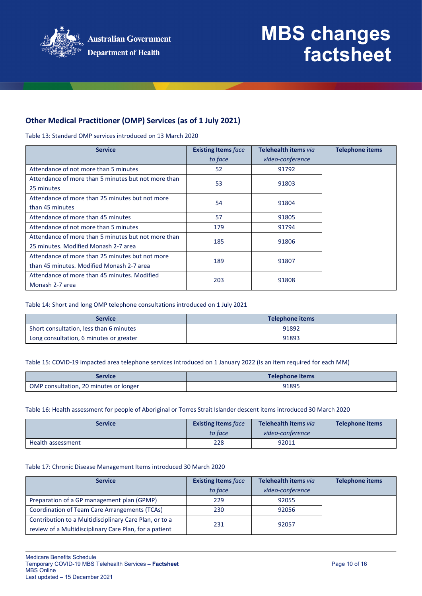

### **Other Medical Practitioner (OMP) Services (as of 1 July 2021)**

Table 13: Standard OMP services introduced on 13 March 2020

| <b>Service</b>                                      | <b>Existing Items face</b> | Telehealth items via | <b>Telephone items</b> |
|-----------------------------------------------------|----------------------------|----------------------|------------------------|
|                                                     | to face                    | video-conference     |                        |
| Attendance of not more than 5 minutes               | 52                         | 91792                |                        |
| Attendance of more than 5 minutes but not more than | 53                         | 91803                |                        |
| 25 minutes                                          |                            |                      |                        |
| Attendance of more than 25 minutes but not more     | 54                         |                      |                        |
| than 45 minutes                                     |                            | 91804                |                        |
| Attendance of more than 45 minutes                  | 57                         | 91805                |                        |
| Attendance of not more than 5 minutes               | 179                        | 91794                |                        |
| Attendance of more than 5 minutes but not more than | 185                        | 91806                |                        |
| 25 minutes. Modified Monash 2-7 area                |                            |                      |                        |
| Attendance of more than 25 minutes but not more     | 189                        | 91807                |                        |
| than 45 minutes. Modified Monash 2-7 area           |                            |                      |                        |
| Attendance of more than 45 minutes. Modified        |                            |                      |                        |
| Monash 2-7 area                                     | 203                        | 91808                |                        |

Table 14: Short and long OMP telephone consultations introduced on 1 July 2021

| Service                                 | Telephone items |
|-----------------------------------------|-----------------|
| Short consultation, less than 6 minutes | 91892           |
| Long consultation, 6 minutes or greater | 91893           |

#### Table 15: COVID-19 impacted area telephone services introduced on 1 January 2022 (Is an item required for each MM)

| service                                | Telephone items |
|----------------------------------------|-----------------|
| OMP consultation, 20 minutes or longer | 91895           |

#### Table 16: Health assessment for people of Aboriginal or Torres Strait Islander descent items introduced 30 March 2020

| Service           | <b>Existing Items face</b><br>to face | Telehealth items via<br>video-conference | Telephone items |
|-------------------|---------------------------------------|------------------------------------------|-----------------|
|                   |                                       |                                          |                 |
| Health assessment | 228                                   | 92011                                    |                 |

#### Table 17: Chronic Disease Management Items introduced 30 March 2020

| <b>Service</b>                                                                                                   | <b>Existing Items face</b><br>to face | Telehealth items via<br>video-conference | <b>Telephone items</b> |
|------------------------------------------------------------------------------------------------------------------|---------------------------------------|------------------------------------------|------------------------|
| Preparation of a GP management plan (GPMP)                                                                       | 229                                   | 92055                                    |                        |
| Coordination of Team Care Arrangements (TCAs)                                                                    | 230                                   | 92056                                    |                        |
| Contribution to a Multidisciplinary Care Plan, or to a<br>review of a Multidisciplinary Care Plan, for a patient | 231                                   | 92057                                    |                        |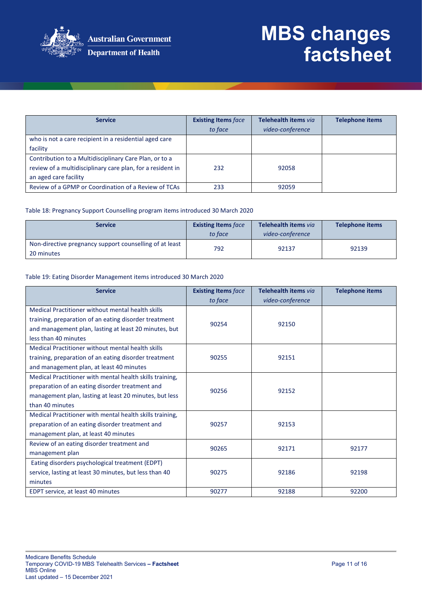

| <b>Service</b>                                             | <b>Existing Items face</b> | Telehealth items via | <b>Telephone items</b> |
|------------------------------------------------------------|----------------------------|----------------------|------------------------|
|                                                            | to face                    | video-conference     |                        |
| who is not a care recipient in a residential aged care     |                            |                      |                        |
| facility                                                   |                            |                      |                        |
| Contribution to a Multidisciplinary Care Plan, or to a     |                            |                      |                        |
| review of a multidisciplinary care plan, for a resident in | 232                        | 92058                |                        |
| an aged care facility                                      |                            |                      |                        |
| Review of a GPMP or Coordination of a Review of TCAs       | 233                        | 92059                |                        |

#### Table 18: Pregnancy Support Counselling program items introduced 30 March 2020

| <b>Service</b>                                                        | <b>Existing Items face</b><br>to face | Telehealth items via<br>video-conference | <b>Telephone items</b> |
|-----------------------------------------------------------------------|---------------------------------------|------------------------------------------|------------------------|
| Non-directive pregnancy support counselling of at least<br>20 minutes | 792                                   | 92137                                    | 92139                  |

#### Table 19: Eating Disorder Management items introduced 30 March 2020

| <b>Service</b>                                                                                                                                                                              | <b>Existing Items face</b><br>to face | Telehealth items via<br>video-conference | <b>Telephone items</b> |
|---------------------------------------------------------------------------------------------------------------------------------------------------------------------------------------------|---------------------------------------|------------------------------------------|------------------------|
| Medical Practitioner without mental health skills<br>training, preparation of an eating disorder treatment<br>and management plan, lasting at least 20 minutes, but<br>less than 40 minutes | 90254                                 | 92150                                    |                        |
| Medical Practitioner without mental health skills<br>training, preparation of an eating disorder treatment<br>and management plan, at least 40 minutes                                      | 90255                                 | 92151                                    |                        |
| Medical Practitioner with mental health skills training,<br>preparation of an eating disorder treatment and<br>management plan, lasting at least 20 minutes, but less<br>than 40 minutes    | 90256                                 | 92152                                    |                        |
| Medical Practitioner with mental health skills training,<br>preparation of an eating disorder treatment and<br>management plan, at least 40 minutes                                         | 90257                                 | 92153                                    |                        |
| Review of an eating disorder treatment and<br>management plan                                                                                                                               | 90265                                 | 92171                                    | 92177                  |
| Eating disorders psychological treatment (EDPT)<br>service, lasting at least 30 minutes, but less than 40<br>minutes                                                                        | 90275                                 | 92186                                    | 92198                  |
| EDPT service, at least 40 minutes                                                                                                                                                           | 90277                                 | 92188                                    | 92200                  |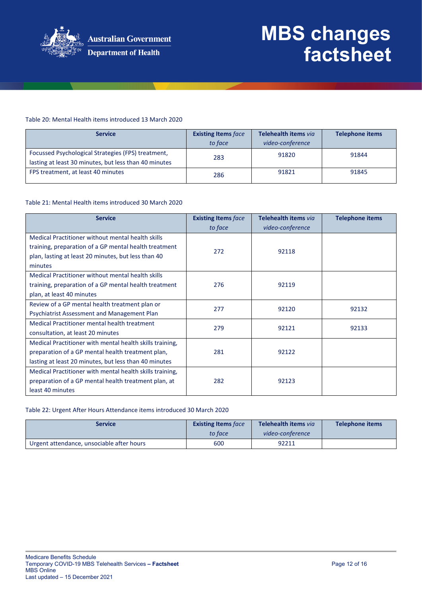

#### Table 20: Mental Health items introduced 13 March 2020

| <b>Service</b>                                                                                              | <b>Existing Items face</b><br>to face | Telehealth items via<br>video-conference | <b>Telephone items</b> |
|-------------------------------------------------------------------------------------------------------------|---------------------------------------|------------------------------------------|------------------------|
| Focussed Psychological Strategies (FPS) treatment,<br>lasting at least 30 minutes, but less than 40 minutes | 283                                   | 91820                                    | 91844                  |
| FPS treatment, at least 40 minutes                                                                          | 286                                   | 91821                                    | 91845                  |

#### Table 21: Mental Health items introduced 30 March 2020

| <b>Service</b>                                           | <b>Existing Items face</b><br>to face | Telehealth items via<br>video-conference | <b>Telephone items</b> |
|----------------------------------------------------------|---------------------------------------|------------------------------------------|------------------------|
| Medical Practitioner without mental health skills        |                                       |                                          |                        |
| training, preparation of a GP mental health treatment    | 272                                   | 92118                                    |                        |
| plan, lasting at least 20 minutes, but less than 40      |                                       |                                          |                        |
| minutes                                                  |                                       |                                          |                        |
| Medical Practitioner without mental health skills        |                                       |                                          |                        |
| training, preparation of a GP mental health treatment    | 276                                   | 92119                                    |                        |
| plan, at least 40 minutes                                |                                       |                                          |                        |
| Review of a GP mental health treatment plan or           | 277                                   | 92120                                    | 92132                  |
| Psychiatrist Assessment and Management Plan              |                                       |                                          |                        |
| Medical Practitioner mental health treatment             | 279                                   | 92121                                    | 92133                  |
| consultation, at least 20 minutes                        |                                       |                                          |                        |
| Medical Practitioner with mental health skills training, |                                       |                                          |                        |
| preparation of a GP mental health treatment plan,        | 281                                   | 92122                                    |                        |
| lasting at least 20 minutes, but less than 40 minutes    |                                       |                                          |                        |
| Medical Practitioner with mental health skills training, |                                       |                                          |                        |
| preparation of a GP mental health treatment plan, at     | 282                                   | 92123                                    |                        |
| least 40 minutes                                         |                                       |                                          |                        |

#### Table 22: Urgent After Hours Attendance items introduced 30 March 2020

| <b>Service</b>                            | <b>Existing Items face</b><br>to face | Telehealth items via<br>video-conference | <b>Telephone items</b> |
|-------------------------------------------|---------------------------------------|------------------------------------------|------------------------|
| Urgent attendance, unsociable after hours | 600                                   | 92211                                    |                        |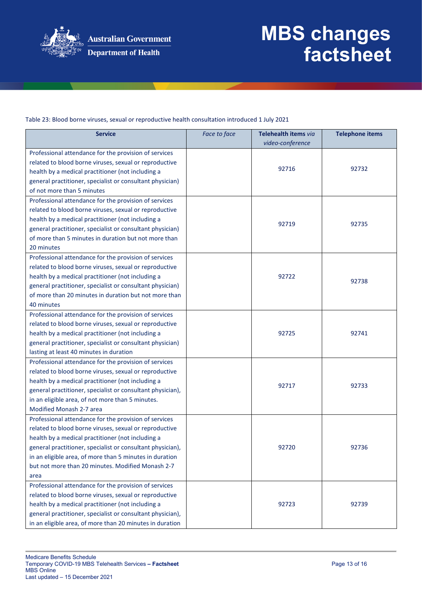

Table 23: Blood borne viruses, sexual or reproductive health consultation introduced 1 July 2021

| <b>Service</b>                                             | Face to face | Telehealth items via | <b>Telephone items</b> |
|------------------------------------------------------------|--------------|----------------------|------------------------|
|                                                            |              | video-conference     |                        |
| Professional attendance for the provision of services      |              |                      |                        |
| related to blood borne viruses, sexual or reproductive     |              | 92716                | 92732                  |
| health by a medical practitioner (not including a          |              |                      |                        |
| general practitioner, specialist or consultant physician)  |              |                      |                        |
| of not more than 5 minutes                                 |              |                      |                        |
| Professional attendance for the provision of services      |              |                      |                        |
| related to blood borne viruses, sexual or reproductive     |              |                      |                        |
| health by a medical practitioner (not including a          |              | 92719                | 92735                  |
| general practitioner, specialist or consultant physician)  |              |                      |                        |
| of more than 5 minutes in duration but not more than       |              |                      |                        |
| 20 minutes                                                 |              |                      |                        |
| Professional attendance for the provision of services      |              |                      |                        |
| related to blood borne viruses, sexual or reproductive     |              |                      |                        |
| health by a medical practitioner (not including a          |              | 92722                | 92738                  |
| general practitioner, specialist or consultant physician)  |              |                      |                        |
| of more than 20 minutes in duration but not more than      |              |                      |                        |
| 40 minutes                                                 |              |                      |                        |
| Professional attendance for the provision of services      |              |                      |                        |
| related to blood borne viruses, sexual or reproductive     |              |                      |                        |
| health by a medical practitioner (not including a          |              | 92725                | 92741                  |
| general practitioner, specialist or consultant physician)  |              |                      |                        |
| lasting at least 40 minutes in duration                    |              |                      |                        |
| Professional attendance for the provision of services      |              |                      |                        |
| related to blood borne viruses, sexual or reproductive     |              |                      |                        |
| health by a medical practitioner (not including a          |              | 92717                | 92733                  |
| general practitioner, specialist or consultant physician), |              |                      |                        |
| in an eligible area, of not more than 5 minutes.           |              |                      |                        |
| Modified Monash 2-7 area                                   |              |                      |                        |
| Professional attendance for the provision of services      |              |                      |                        |
| related to blood borne viruses, sexual or reproductive     |              |                      |                        |
| health by a medical practitioner (not including a          |              |                      |                        |
| general practitioner, specialist or consultant physician), |              | 92720                | 92736                  |
| in an eligible area, of more than 5 minutes in duration    |              |                      |                        |
| but not more than 20 minutes. Modified Monash 2-7          |              |                      |                        |
| area                                                       |              |                      |                        |
| Professional attendance for the provision of services      |              |                      |                        |
| related to blood borne viruses, sexual or reproductive     |              |                      |                        |
| health by a medical practitioner (not including a          |              | 92723                | 92739                  |
| general practitioner, specialist or consultant physician), |              |                      |                        |
| in an eligible area, of more than 20 minutes in duration   |              |                      |                        |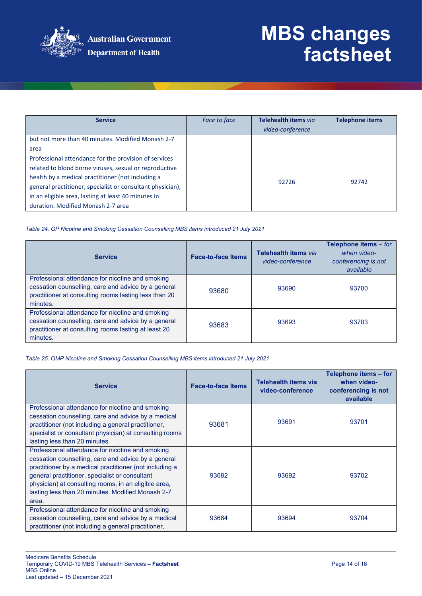

| <b>Service</b>                                                                                                                                                                                                                                                                                                                  | Face to face | Telehealth items via<br>video-conference | <b>Telephone items</b> |
|---------------------------------------------------------------------------------------------------------------------------------------------------------------------------------------------------------------------------------------------------------------------------------------------------------------------------------|--------------|------------------------------------------|------------------------|
| but not more than 40 minutes. Modified Monash 2-7<br>area                                                                                                                                                                                                                                                                       |              |                                          |                        |
| Professional attendance for the provision of services<br>related to blood borne viruses, sexual or reproductive<br>health by a medical practitioner (not including a<br>general practitioner, specialist or consultant physician),<br>in an eligible area, lasting at least 40 minutes in<br>duration. Modified Monash 2-7 area |              | 92726                                    | 92742                  |

*Table 24. GP Nicotine and Smoking Cessation Counselling MBS items introduced 21 July 2021*

| <b>Service</b>                                                                                                                                                               | <b>Face-to-face Items</b> | Telehealth items via<br>video-conference | Telephone items - for<br>when video-<br>conferencing is not<br>available |
|------------------------------------------------------------------------------------------------------------------------------------------------------------------------------|---------------------------|------------------------------------------|--------------------------------------------------------------------------|
| Professional attendance for nicotine and smoking<br>cessation counselling, care and advice by a general<br>practitioner at consulting rooms lasting less than 20<br>minutes. | 93680                     | 93690                                    | 93700                                                                    |
| Professional attendance for nicotine and smoking<br>cessation counselling, care and advice by a general<br>practitioner at consulting rooms lasting at least 20<br>minutes.  | 93683                     | 93693                                    | 93703                                                                    |

*Table 25. OMP Nicotine and Smoking Cessation Counselling MBS items introduced 21 July 2021*

| <b>Service</b>                                                                                                                                                                                                                                                                                                                             | <b>Face-to-face Items</b> | <b>Telehealth items via</b><br>video-conference | Telephone items - for<br>when video-<br>conferencing is not<br>available |
|--------------------------------------------------------------------------------------------------------------------------------------------------------------------------------------------------------------------------------------------------------------------------------------------------------------------------------------------|---------------------------|-------------------------------------------------|--------------------------------------------------------------------------|
| Professional attendance for nicotine and smoking<br>cessation counselling, care and advice by a medical<br>practitioner (not including a general practitioner,<br>specialist or consultant physician) at consulting rooms<br>lasting less than 20 minutes.                                                                                 | 93681                     | 93691                                           | 93701                                                                    |
| Professional attendance for nicotine and smoking<br>cessation counselling, care and advice by a general<br>practitioner by a medical practitioner (not including a<br>general practitioner, specialist or consultant<br>physician) at consulting rooms, in an eligible area,<br>lasting less than 20 minutes. Modified Monash 2-7<br>area. | 93682                     | 93692                                           | 93702                                                                    |
| Professional attendance for nicotine and smoking<br>cessation counselling, care and advice by a medical<br>practitioner (not including a general practitioner,                                                                                                                                                                             | 93684                     | 93694                                           | 93704                                                                    |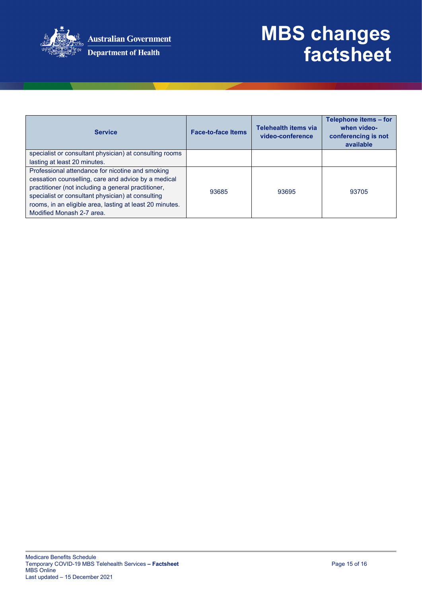

| <b>Service</b>                                           | <b>Face-to-face Items</b> | Telehealth items via<br>video-conference | Telephone items - for<br>when video-<br>conferencing is not<br>available |
|----------------------------------------------------------|---------------------------|------------------------------------------|--------------------------------------------------------------------------|
| specialist or consultant physician) at consulting rooms  |                           |                                          |                                                                          |
| lasting at least 20 minutes.                             |                           |                                          |                                                                          |
| Professional attendance for nicotine and smoking         |                           |                                          |                                                                          |
| cessation counselling, care and advice by a medical      |                           |                                          |                                                                          |
| practitioner (not including a general practitioner,      | 93685                     | 93695                                    | 93705                                                                    |
| specialist or consultant physician) at consulting        |                           |                                          |                                                                          |
| rooms, in an eligible area, lasting at least 20 minutes. |                           |                                          |                                                                          |
| Modified Monash 2-7 area.                                |                           |                                          |                                                                          |